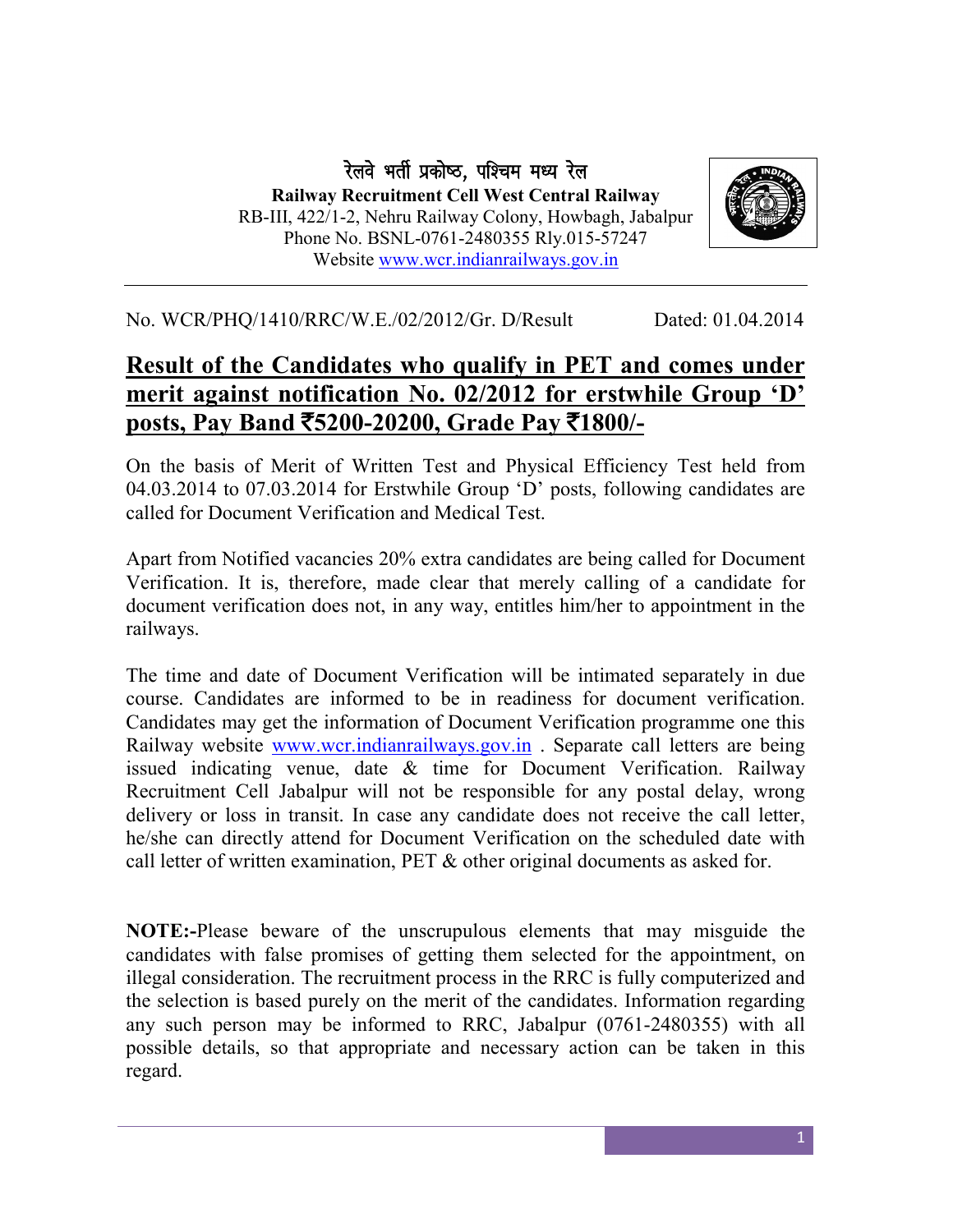रेलवे भर्ती प्रकोष्ठ, पश्चिम मध्य रेल Railway Recruitment Cell West Central Railway RB-III, 422/1-2, Nehru Railway Colony, Howbagh, Jabalpur Phone No. BSNL-0761-2480355 Rly.015-57247 Website [www.wcr.indianrailways.gov.in](http://www.wcr.indianrailways.gov.in/)



No. WCR/PHQ/1410/RRC/W.E./02/2012/Gr. D/Result Dated: 01.04.2014

## Result of the Candidates who qualify in PET and comes under merit against notification No. 02/2012 for erstwhile Group 'D' posts, Pay Band  $\overline{5}200-20200$ , Grade Pay  $\overline{5}1800$ /-

On the basis of Merit of Written Test and Physical Efficiency Test held from 04.03.2014 to 07.03.2014 for Erstwhile Group 'D' posts, following candidates are called for Document Verification and Medical Test.

Apart from Notified vacancies 20% extra candidates are being called for Document Verification. It is, therefore, made clear that merely calling of a candidate for document verification does not, in any way, entitles him/her to appointment in the railways.

The time and date of Document Verification will be intimated separately in due course. Candidates are informed to be in readiness for document verification. Candidates may get the information of Document Verification programme one this Railway website [www.wcr.indianrailways.gov.in](http://www.wcr.indianrailways.gov.in/) . Separate call letters are being issued indicating venue, date & time for Document Verification. Railway Recruitment Cell Jabalpur will not be responsible for any postal delay, wrong delivery or loss in transit. In case any candidate does not receive the call letter, he/she can directly attend for Document Verification on the scheduled date with call letter of written examination, PET & other original documents as asked for.

NOTE:-Please beware of the unscrupulous elements that may misguide the candidates with false promises of getting them selected for the appointment, on illegal consideration. The recruitment process in the RRC is fully computerized and the selection is based purely on the merit of the candidates. Information regarding any such person may be informed to RRC, Jabalpur (0761-2480355) with all possible details, so that appropriate and necessary action can be taken in this regard.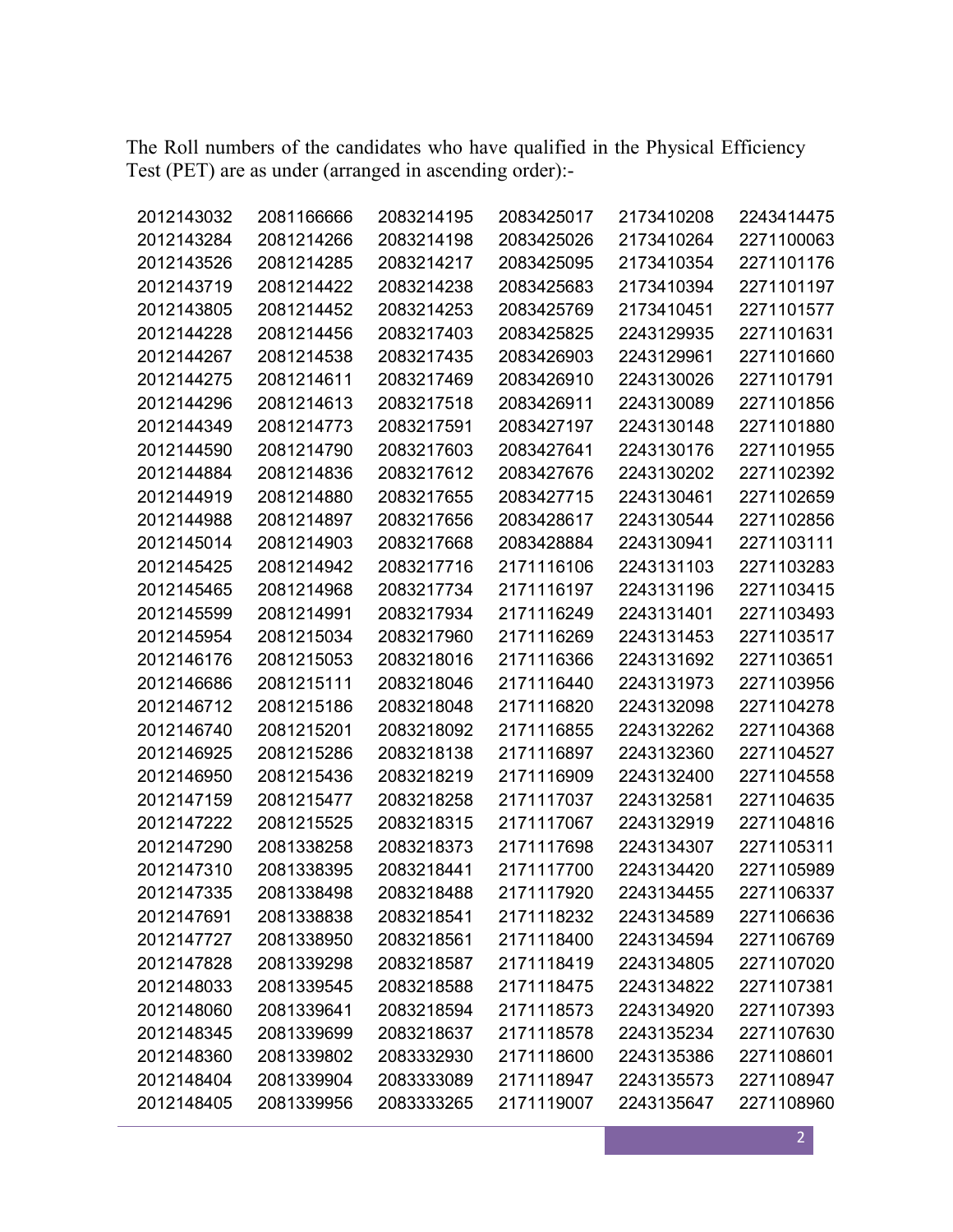The Roll numbers of the candidates who have qualified in the Physical Efficiency Test (PET) are as under (arranged in ascending order):-

| 2012143032 | 2081166666 | 2083214195 | 2083425017 | 2173410208 | 2243414475 |
|------------|------------|------------|------------|------------|------------|
| 2012143284 | 2081214266 | 2083214198 | 2083425026 | 2173410264 | 2271100063 |
| 2012143526 | 2081214285 | 2083214217 | 2083425095 | 2173410354 | 2271101176 |
| 2012143719 | 2081214422 | 2083214238 | 2083425683 | 2173410394 | 2271101197 |
| 2012143805 | 2081214452 | 2083214253 | 2083425769 | 2173410451 | 2271101577 |
| 2012144228 | 2081214456 | 2083217403 | 2083425825 | 2243129935 | 2271101631 |
| 2012144267 | 2081214538 | 2083217435 | 2083426903 | 2243129961 | 2271101660 |
| 2012144275 | 2081214611 | 2083217469 | 2083426910 | 2243130026 | 2271101791 |
| 2012144296 | 2081214613 | 2083217518 | 2083426911 | 2243130089 | 2271101856 |
| 2012144349 | 2081214773 | 2083217591 | 2083427197 | 2243130148 | 2271101880 |
| 2012144590 | 2081214790 | 2083217603 | 2083427641 | 2243130176 | 2271101955 |
| 2012144884 | 2081214836 | 2083217612 | 2083427676 | 2243130202 | 2271102392 |
| 2012144919 | 2081214880 | 2083217655 | 2083427715 | 2243130461 | 2271102659 |
| 2012144988 | 2081214897 | 2083217656 | 2083428617 | 2243130544 | 2271102856 |
| 2012145014 | 2081214903 | 2083217668 | 2083428884 | 2243130941 | 2271103111 |
| 2012145425 | 2081214942 | 2083217716 | 2171116106 | 2243131103 | 2271103283 |
| 2012145465 | 2081214968 | 2083217734 | 2171116197 | 2243131196 | 2271103415 |
| 2012145599 | 2081214991 | 2083217934 | 2171116249 | 2243131401 | 2271103493 |
| 2012145954 | 2081215034 | 2083217960 | 2171116269 | 2243131453 | 2271103517 |
| 2012146176 | 2081215053 | 2083218016 | 2171116366 | 2243131692 | 2271103651 |
| 2012146686 | 2081215111 | 2083218046 | 2171116440 | 2243131973 | 2271103956 |
| 2012146712 | 2081215186 | 2083218048 | 2171116820 | 2243132098 | 2271104278 |
| 2012146740 | 2081215201 | 2083218092 | 2171116855 | 2243132262 | 2271104368 |
| 2012146925 | 2081215286 | 2083218138 | 2171116897 | 2243132360 | 2271104527 |
| 2012146950 | 2081215436 | 2083218219 | 2171116909 | 2243132400 | 2271104558 |
| 2012147159 | 2081215477 | 2083218258 | 2171117037 | 2243132581 | 2271104635 |
| 2012147222 | 2081215525 | 2083218315 | 2171117067 | 2243132919 | 2271104816 |
| 2012147290 | 2081338258 | 2083218373 | 2171117698 | 2243134307 | 2271105311 |
| 2012147310 | 2081338395 | 2083218441 | 2171117700 | 2243134420 | 2271105989 |
| 2012147335 | 2081338498 | 2083218488 | 2171117920 | 2243134455 | 2271106337 |
| 2012147691 | 2081338838 | 2083218541 | 2171118232 | 2243134589 | 2271106636 |
| 2012147727 | 2081338950 | 2083218561 | 2171118400 | 2243134594 | 2271106769 |
| 2012147828 | 2081339298 | 2083218587 | 2171118419 | 2243134805 | 2271107020 |
| 2012148033 | 2081339545 | 2083218588 | 2171118475 | 2243134822 | 2271107381 |
| 2012148060 | 2081339641 | 2083218594 | 2171118573 | 2243134920 | 2271107393 |
| 2012148345 | 2081339699 | 2083218637 | 2171118578 | 2243135234 | 2271107630 |
| 2012148360 | 2081339802 | 2083332930 | 2171118600 | 2243135386 | 2271108601 |
| 2012148404 | 2081339904 | 2083333089 | 2171118947 | 2243135573 | 2271108947 |
| 2012148405 | 2081339956 | 2083333265 | 2171119007 | 2243135647 | 2271108960 |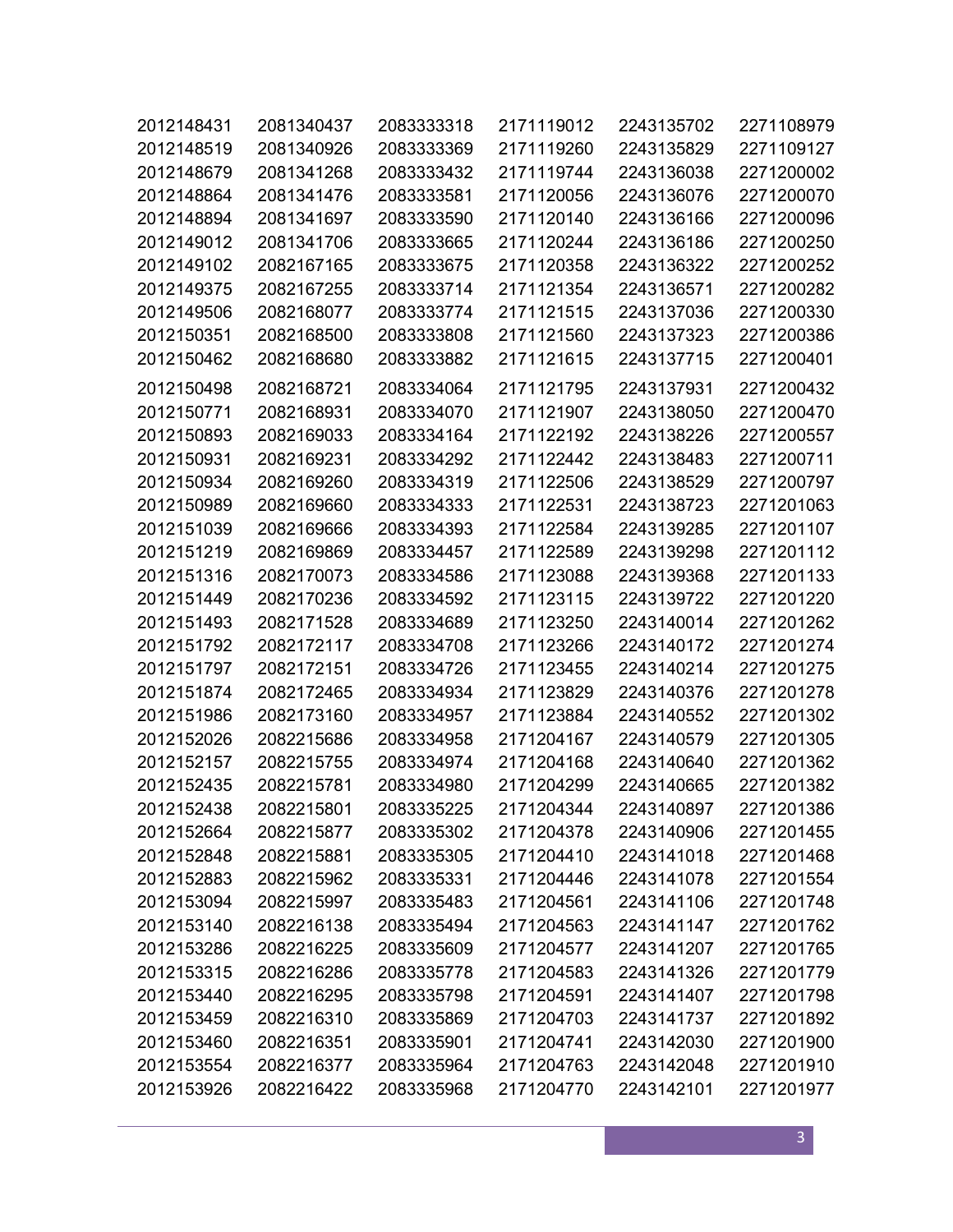| 2012148431 | 2081340437 | 2083333318 | 2171119012 | 2243135702 | 2271108979 |
|------------|------------|------------|------------|------------|------------|
| 2012148519 | 2081340926 | 2083333369 | 2171119260 | 2243135829 | 2271109127 |
| 2012148679 | 2081341268 | 2083333432 | 2171119744 | 2243136038 | 2271200002 |
| 2012148864 | 2081341476 | 2083333581 | 2171120056 | 2243136076 | 2271200070 |
| 2012148894 | 2081341697 | 2083333590 | 2171120140 | 2243136166 | 2271200096 |
| 2012149012 | 2081341706 | 2083333665 | 2171120244 | 2243136186 | 2271200250 |
| 2012149102 | 2082167165 | 2083333675 | 2171120358 | 2243136322 | 2271200252 |
| 2012149375 | 2082167255 | 2083333714 | 2171121354 | 2243136571 | 2271200282 |
| 2012149506 | 2082168077 | 2083333774 | 2171121515 | 2243137036 | 2271200330 |
| 2012150351 | 2082168500 | 2083333808 | 2171121560 | 2243137323 | 2271200386 |
| 2012150462 | 2082168680 | 2083333882 | 2171121615 | 2243137715 | 2271200401 |
| 2012150498 | 2082168721 | 2083334064 | 2171121795 | 2243137931 | 2271200432 |
| 2012150771 | 2082168931 | 2083334070 | 2171121907 | 2243138050 | 2271200470 |
| 2012150893 | 2082169033 | 2083334164 | 2171122192 | 2243138226 | 2271200557 |
| 2012150931 | 2082169231 | 2083334292 | 2171122442 | 2243138483 | 2271200711 |
| 2012150934 | 2082169260 | 2083334319 | 2171122506 | 2243138529 | 2271200797 |
| 2012150989 | 2082169660 | 2083334333 | 2171122531 | 2243138723 | 2271201063 |
| 2012151039 | 2082169666 | 2083334393 | 2171122584 | 2243139285 | 2271201107 |
| 2012151219 | 2082169869 | 2083334457 | 2171122589 | 2243139298 | 2271201112 |
| 2012151316 | 2082170073 | 2083334586 | 2171123088 | 2243139368 | 2271201133 |
| 2012151449 | 2082170236 | 2083334592 | 2171123115 | 2243139722 | 2271201220 |
| 2012151493 | 2082171528 | 2083334689 | 2171123250 | 2243140014 | 2271201262 |
| 2012151792 | 2082172117 | 2083334708 | 2171123266 | 2243140172 | 2271201274 |
| 2012151797 | 2082172151 | 2083334726 | 2171123455 | 2243140214 | 2271201275 |
| 2012151874 | 2082172465 | 2083334934 | 2171123829 | 2243140376 | 2271201278 |
| 2012151986 | 2082173160 | 2083334957 | 2171123884 | 2243140552 | 2271201302 |
| 2012152026 | 2082215686 | 2083334958 | 2171204167 | 2243140579 | 2271201305 |
| 2012152157 | 2082215755 | 2083334974 | 2171204168 | 2243140640 | 2271201362 |
| 2012152435 | 2082215781 | 2083334980 | 2171204299 | 2243140665 | 2271201382 |
| 2012152438 | 2082215801 | 2083335225 | 2171204344 | 2243140897 | 2271201386 |
| 2012152664 | 2082215877 | 2083335302 | 2171204378 | 2243140906 | 2271201455 |
| 2012152848 | 2082215881 | 2083335305 | 2171204410 | 2243141018 | 2271201468 |
| 2012152883 | 2082215962 | 2083335331 | 2171204446 | 2243141078 | 2271201554 |
| 2012153094 | 2082215997 | 2083335483 | 2171204561 | 2243141106 | 2271201748 |
| 2012153140 | 2082216138 | 2083335494 | 2171204563 | 2243141147 | 2271201762 |
| 2012153286 | 2082216225 | 2083335609 | 2171204577 | 2243141207 | 2271201765 |
| 2012153315 | 2082216286 | 2083335778 | 2171204583 | 2243141326 | 2271201779 |
| 2012153440 | 2082216295 | 2083335798 | 2171204591 | 2243141407 | 2271201798 |
| 2012153459 | 2082216310 | 2083335869 | 2171204703 | 2243141737 | 2271201892 |
| 2012153460 | 2082216351 | 2083335901 | 2171204741 | 2243142030 | 2271201900 |
| 2012153554 | 2082216377 | 2083335964 | 2171204763 | 2243142048 | 2271201910 |
| 2012153926 | 2082216422 | 2083335968 | 2171204770 | 2243142101 | 2271201977 |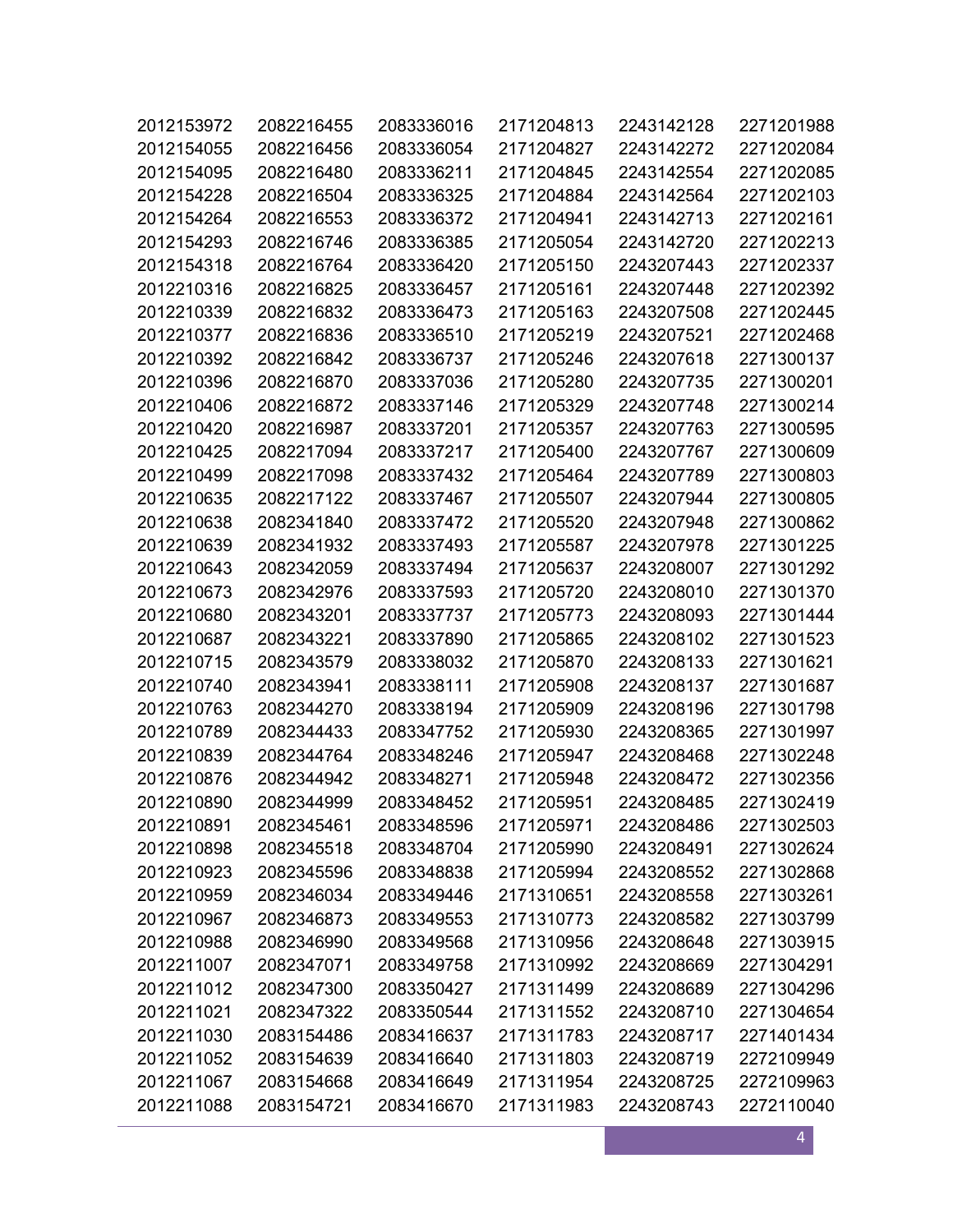| 2012153972 | 2082216455 | 2083336016 | 2171204813 | 2243142128 | 2271201988 |
|------------|------------|------------|------------|------------|------------|
| 2012154055 | 2082216456 | 2083336054 | 2171204827 | 2243142272 | 2271202084 |
| 2012154095 | 2082216480 | 2083336211 | 2171204845 | 2243142554 | 2271202085 |
| 2012154228 | 2082216504 | 2083336325 | 2171204884 | 2243142564 | 2271202103 |
| 2012154264 | 2082216553 | 2083336372 | 2171204941 | 2243142713 | 2271202161 |
| 2012154293 | 2082216746 | 2083336385 | 2171205054 | 2243142720 | 2271202213 |
| 2012154318 | 2082216764 | 2083336420 | 2171205150 | 2243207443 | 2271202337 |
| 2012210316 | 2082216825 | 2083336457 | 2171205161 | 2243207448 | 2271202392 |
| 2012210339 | 2082216832 | 2083336473 | 2171205163 | 2243207508 | 2271202445 |
| 2012210377 | 2082216836 | 2083336510 | 2171205219 | 2243207521 | 2271202468 |
| 2012210392 | 2082216842 | 2083336737 | 2171205246 | 2243207618 | 2271300137 |
| 2012210396 | 2082216870 | 2083337036 | 2171205280 | 2243207735 | 2271300201 |
| 2012210406 | 2082216872 | 2083337146 | 2171205329 | 2243207748 | 2271300214 |
| 2012210420 | 2082216987 | 2083337201 | 2171205357 | 2243207763 | 2271300595 |
| 2012210425 | 2082217094 | 2083337217 | 2171205400 | 2243207767 | 2271300609 |
| 2012210499 | 2082217098 | 2083337432 | 2171205464 | 2243207789 | 2271300803 |
| 2012210635 | 2082217122 | 2083337467 | 2171205507 | 2243207944 | 2271300805 |
| 2012210638 | 2082341840 | 2083337472 | 2171205520 | 2243207948 | 2271300862 |
| 2012210639 | 2082341932 | 2083337493 | 2171205587 | 2243207978 | 2271301225 |
| 2012210643 | 2082342059 | 2083337494 | 2171205637 | 2243208007 | 2271301292 |
| 2012210673 | 2082342976 | 2083337593 | 2171205720 | 2243208010 | 2271301370 |
| 2012210680 | 2082343201 | 2083337737 | 2171205773 | 2243208093 | 2271301444 |
| 2012210687 | 2082343221 | 2083337890 | 2171205865 | 2243208102 | 2271301523 |
| 2012210715 | 2082343579 | 2083338032 | 2171205870 | 2243208133 | 2271301621 |
| 2012210740 | 2082343941 | 2083338111 | 2171205908 | 2243208137 | 2271301687 |
| 2012210763 | 2082344270 | 2083338194 | 2171205909 | 2243208196 | 2271301798 |
| 2012210789 | 2082344433 | 2083347752 | 2171205930 | 2243208365 | 2271301997 |
| 2012210839 | 2082344764 | 2083348246 | 2171205947 | 2243208468 | 2271302248 |
| 2012210876 | 2082344942 | 2083348271 | 2171205948 | 2243208472 | 2271302356 |
| 2012210890 | 2082344999 | 2083348452 | 2171205951 | 2243208485 | 2271302419 |
| 2012210891 | 2082345461 | 2083348596 | 2171205971 | 2243208486 | 2271302503 |
| 2012210898 | 2082345518 | 2083348704 | 2171205990 | 2243208491 | 2271302624 |
| 2012210923 | 2082345596 | 2083348838 | 2171205994 | 2243208552 | 2271302868 |
| 2012210959 | 2082346034 | 2083349446 | 2171310651 | 2243208558 | 2271303261 |
| 2012210967 | 2082346873 | 2083349553 | 2171310773 | 2243208582 | 2271303799 |
| 2012210988 | 2082346990 | 2083349568 | 2171310956 | 2243208648 | 2271303915 |
| 2012211007 | 2082347071 | 2083349758 | 2171310992 | 2243208669 | 2271304291 |
| 2012211012 | 2082347300 | 2083350427 | 2171311499 | 2243208689 | 2271304296 |
| 2012211021 | 2082347322 | 2083350544 | 2171311552 | 2243208710 | 2271304654 |
| 2012211030 | 2083154486 | 2083416637 | 2171311783 | 2243208717 | 2271401434 |
| 2012211052 | 2083154639 | 2083416640 | 2171311803 | 2243208719 | 2272109949 |
| 2012211067 | 2083154668 | 2083416649 | 2171311954 | 2243208725 | 2272109963 |
| 2012211088 | 2083154721 | 2083416670 | 2171311983 | 2243208743 | 2272110040 |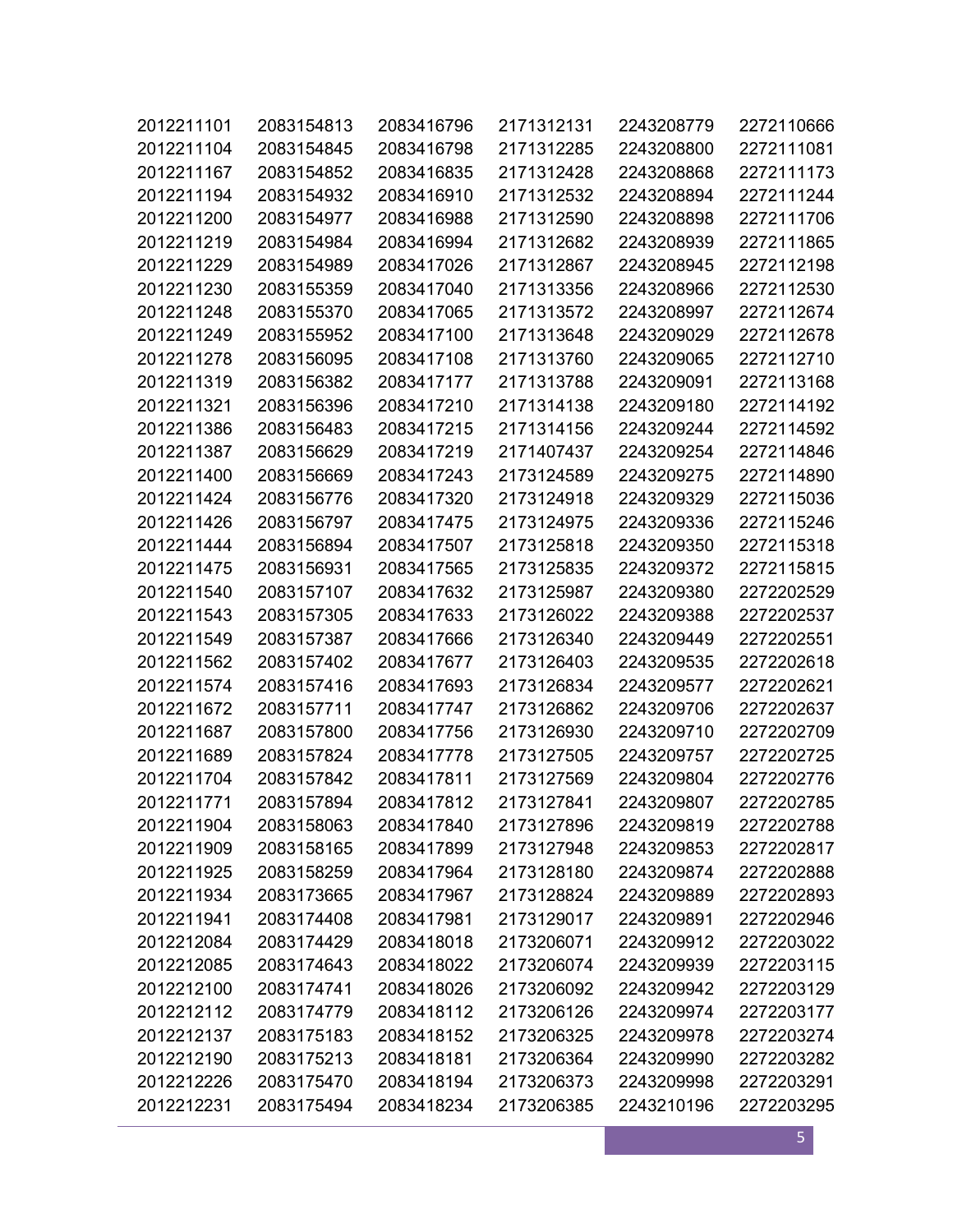| 2012211101 | 2083154813 | 2083416796 | 2171312131 | 2243208779 | 2272110666 |
|------------|------------|------------|------------|------------|------------|
| 2012211104 | 2083154845 | 2083416798 | 2171312285 | 2243208800 | 2272111081 |
| 2012211167 | 2083154852 | 2083416835 | 2171312428 | 2243208868 | 2272111173 |
| 2012211194 | 2083154932 | 2083416910 | 2171312532 | 2243208894 | 2272111244 |
| 2012211200 | 2083154977 | 2083416988 | 2171312590 | 2243208898 | 2272111706 |
| 2012211219 | 2083154984 | 2083416994 | 2171312682 | 2243208939 | 2272111865 |
| 2012211229 | 2083154989 | 2083417026 | 2171312867 | 2243208945 | 2272112198 |
| 2012211230 | 2083155359 | 2083417040 | 2171313356 | 2243208966 | 2272112530 |
| 2012211248 | 2083155370 | 2083417065 | 2171313572 | 2243208997 | 2272112674 |
| 2012211249 | 2083155952 | 2083417100 | 2171313648 | 2243209029 | 2272112678 |
| 2012211278 | 2083156095 | 2083417108 | 2171313760 | 2243209065 | 2272112710 |
| 2012211319 | 2083156382 | 2083417177 | 2171313788 | 2243209091 | 2272113168 |
| 2012211321 | 2083156396 | 2083417210 | 2171314138 | 2243209180 | 2272114192 |
| 2012211386 | 2083156483 | 2083417215 | 2171314156 | 2243209244 | 2272114592 |
| 2012211387 | 2083156629 | 2083417219 | 2171407437 | 2243209254 | 2272114846 |
| 2012211400 | 2083156669 | 2083417243 | 2173124589 | 2243209275 | 2272114890 |
| 2012211424 | 2083156776 | 2083417320 | 2173124918 | 2243209329 | 2272115036 |
| 2012211426 | 2083156797 | 2083417475 | 2173124975 | 2243209336 | 2272115246 |
| 2012211444 | 2083156894 | 2083417507 | 2173125818 | 2243209350 | 2272115318 |
| 2012211475 | 2083156931 | 2083417565 | 2173125835 | 2243209372 | 2272115815 |
| 2012211540 | 2083157107 | 2083417632 | 2173125987 | 2243209380 | 2272202529 |
| 2012211543 | 2083157305 | 2083417633 | 2173126022 | 2243209388 | 2272202537 |
| 2012211549 | 2083157387 | 2083417666 | 2173126340 | 2243209449 | 2272202551 |
| 2012211562 | 2083157402 | 2083417677 | 2173126403 | 2243209535 | 2272202618 |
| 2012211574 | 2083157416 | 2083417693 | 2173126834 | 2243209577 | 2272202621 |
| 2012211672 | 2083157711 | 2083417747 | 2173126862 | 2243209706 | 2272202637 |
| 2012211687 | 2083157800 | 2083417756 | 2173126930 | 2243209710 | 2272202709 |
| 2012211689 | 2083157824 | 2083417778 | 2173127505 | 2243209757 | 2272202725 |
| 2012211704 | 2083157842 | 2083417811 | 2173127569 | 2243209804 | 2272202776 |
| 2012211771 | 2083157894 | 2083417812 | 2173127841 | 2243209807 | 2272202785 |
| 2012211904 | 2083158063 | 2083417840 | 2173127896 | 2243209819 | 2272202788 |
| 2012211909 | 2083158165 | 2083417899 | 2173127948 | 2243209853 | 2272202817 |
| 2012211925 | 2083158259 | 2083417964 | 2173128180 | 2243209874 | 2272202888 |
| 2012211934 | 2083173665 | 2083417967 | 2173128824 | 2243209889 | 2272202893 |
| 2012211941 | 2083174408 | 2083417981 | 2173129017 | 2243209891 | 2272202946 |
| 2012212084 | 2083174429 | 2083418018 | 2173206071 | 2243209912 | 2272203022 |
| 2012212085 | 2083174643 | 2083418022 | 2173206074 | 2243209939 | 2272203115 |
| 2012212100 | 2083174741 | 2083418026 | 2173206092 | 2243209942 | 2272203129 |
| 2012212112 | 2083174779 | 2083418112 | 2173206126 | 2243209974 | 2272203177 |
| 2012212137 | 2083175183 | 2083418152 | 2173206325 | 2243209978 | 2272203274 |
| 2012212190 | 2083175213 | 2083418181 | 2173206364 | 2243209990 | 2272203282 |
| 2012212226 | 2083175470 | 2083418194 | 2173206373 | 2243209998 | 2272203291 |
| 2012212231 | 2083175494 | 2083418234 | 2173206385 | 2243210196 | 2272203295 |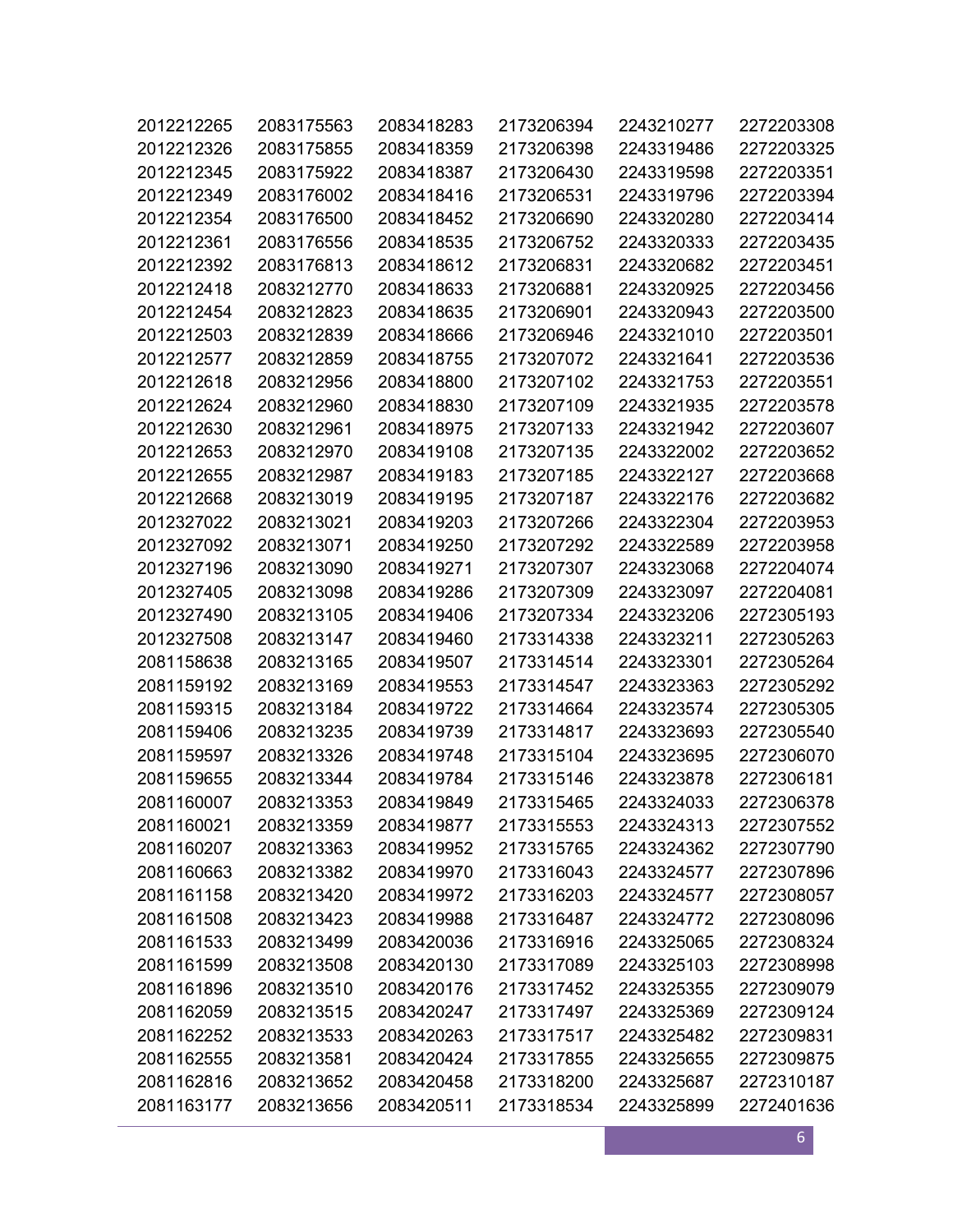| 2012212265 | 2083175563 | 2083418283 | 2173206394 | 2243210277 | 2272203308 |
|------------|------------|------------|------------|------------|------------|
| 2012212326 | 2083175855 | 2083418359 | 2173206398 | 2243319486 | 2272203325 |
| 2012212345 | 2083175922 | 2083418387 | 2173206430 | 2243319598 | 2272203351 |
| 2012212349 | 2083176002 | 2083418416 | 2173206531 | 2243319796 | 2272203394 |
| 2012212354 | 2083176500 | 2083418452 | 2173206690 | 2243320280 | 2272203414 |
| 2012212361 | 2083176556 | 2083418535 | 2173206752 | 2243320333 | 2272203435 |
| 2012212392 | 2083176813 | 2083418612 | 2173206831 | 2243320682 | 2272203451 |
| 2012212418 | 2083212770 | 2083418633 | 2173206881 | 2243320925 | 2272203456 |
| 2012212454 | 2083212823 | 2083418635 | 2173206901 | 2243320943 | 2272203500 |
| 2012212503 | 2083212839 | 2083418666 | 2173206946 | 2243321010 | 2272203501 |
| 2012212577 | 2083212859 | 2083418755 | 2173207072 | 2243321641 | 2272203536 |
| 2012212618 | 2083212956 | 2083418800 | 2173207102 | 2243321753 | 2272203551 |
| 2012212624 | 2083212960 | 2083418830 | 2173207109 | 2243321935 | 2272203578 |
| 2012212630 | 2083212961 | 2083418975 | 2173207133 | 2243321942 | 2272203607 |
| 2012212653 | 2083212970 | 2083419108 | 2173207135 | 2243322002 | 2272203652 |
| 2012212655 | 2083212987 | 2083419183 | 2173207185 | 2243322127 | 2272203668 |
| 2012212668 | 2083213019 | 2083419195 | 2173207187 | 2243322176 | 2272203682 |
| 2012327022 | 2083213021 | 2083419203 | 2173207266 | 2243322304 | 2272203953 |
| 2012327092 | 2083213071 | 2083419250 | 2173207292 | 2243322589 | 2272203958 |
| 2012327196 | 2083213090 | 2083419271 | 2173207307 | 2243323068 | 2272204074 |
| 2012327405 | 2083213098 | 2083419286 | 2173207309 | 2243323097 | 2272204081 |
| 2012327490 | 2083213105 | 2083419406 | 2173207334 | 2243323206 | 2272305193 |
| 2012327508 | 2083213147 | 2083419460 | 2173314338 | 2243323211 | 2272305263 |
| 2081158638 | 2083213165 | 2083419507 | 2173314514 | 2243323301 | 2272305264 |
| 2081159192 | 2083213169 | 2083419553 | 2173314547 | 2243323363 | 2272305292 |
| 2081159315 | 2083213184 | 2083419722 | 2173314664 | 2243323574 | 2272305305 |
| 2081159406 | 2083213235 | 2083419739 | 2173314817 | 2243323693 | 2272305540 |
| 2081159597 | 2083213326 | 2083419748 | 2173315104 | 2243323695 | 2272306070 |
| 2081159655 | 2083213344 | 2083419784 | 2173315146 | 2243323878 | 2272306181 |
| 2081160007 | 2083213353 | 2083419849 | 2173315465 | 2243324033 | 2272306378 |
| 2081160021 | 2083213359 | 2083419877 | 2173315553 | 2243324313 | 2272307552 |
| 2081160207 | 2083213363 | 2083419952 | 2173315765 | 2243324362 | 2272307790 |
| 2081160663 | 2083213382 | 2083419970 | 2173316043 | 2243324577 | 2272307896 |
| 2081161158 | 2083213420 | 2083419972 | 2173316203 | 2243324577 | 2272308057 |
| 2081161508 | 2083213423 | 2083419988 | 2173316487 | 2243324772 | 2272308096 |
| 2081161533 | 2083213499 | 2083420036 | 2173316916 | 2243325065 | 2272308324 |
| 2081161599 | 2083213508 | 2083420130 | 2173317089 | 2243325103 | 2272308998 |
| 2081161896 | 2083213510 | 2083420176 | 2173317452 | 2243325355 | 2272309079 |
| 2081162059 | 2083213515 | 2083420247 | 2173317497 | 2243325369 | 2272309124 |
| 2081162252 | 2083213533 | 2083420263 | 2173317517 | 2243325482 | 2272309831 |
| 2081162555 | 2083213581 | 2083420424 | 2173317855 | 2243325655 | 2272309875 |
| 2081162816 | 2083213652 | 2083420458 | 2173318200 | 2243325687 | 2272310187 |
| 2081163177 | 2083213656 | 2083420511 | 2173318534 | 2243325899 | 2272401636 |